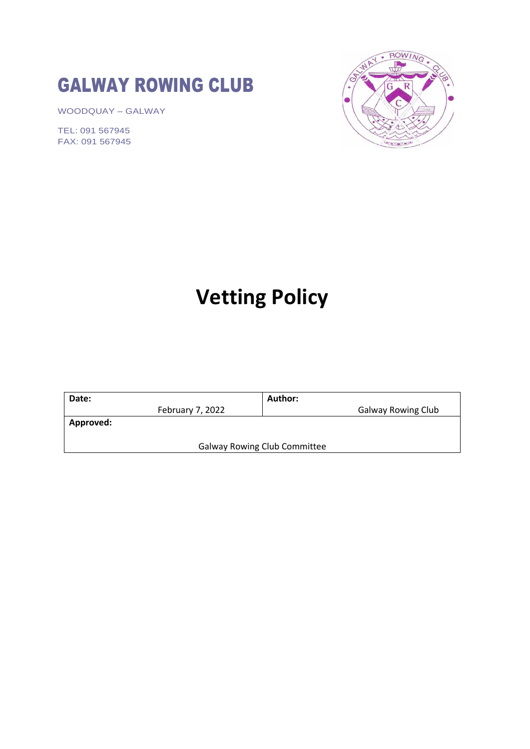## GALWAY ROWING CLUB

WOODQUAY – GALWAY

TEL: 091 567945 FAX: 091 567945



# **Vetting Policy**

| Date:                               |                  | Author: |                           |
|-------------------------------------|------------------|---------|---------------------------|
|                                     | February 7, 2022 |         | <b>Galway Rowing Club</b> |
| Approved:                           |                  |         |                           |
|                                     |                  |         |                           |
| <b>Galway Rowing Club Committee</b> |                  |         |                           |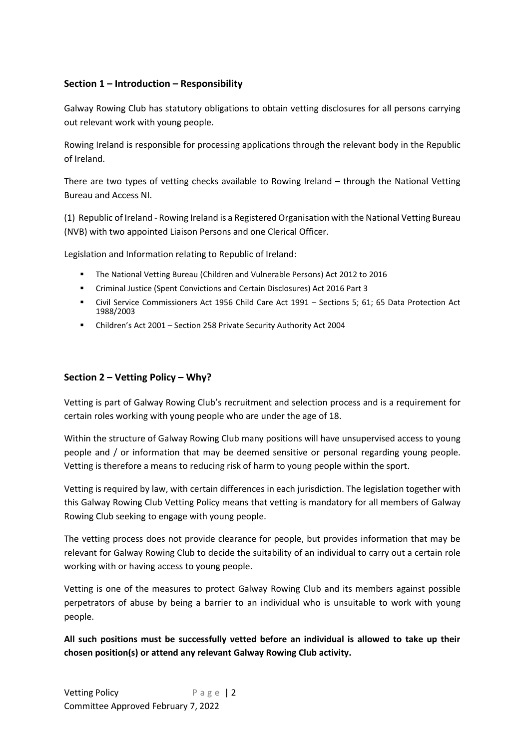## **Section 1 – Introduction – Responsibility**

Galway Rowing Club has statutory obligations to obtain vetting disclosures for all persons carrying out relevant work with young people.

Rowing Ireland is responsible for processing applications through the relevant body in the Republic of Ireland.

There are two types of vetting checks available to Rowing Ireland – through the National Vetting Bureau and Access NI.

(1) Republic of Ireland - Rowing Ireland is a Registered Organisation with the National Vetting Bureau (NVB) with two appointed Liaison Persons and one Clerical Officer.

Legislation and Information relating to Republic of Ireland:

- The National Vetting Bureau (Children and Vulnerable Persons) Act 2012 to 2016
- Criminal Justice (Spent Convictions and Certain Disclosures) Act 2016 Part 3
- Civil Service Commissioners Act 1956 Child Care Act 1991 Sections 5; 61; 65 Data Protection Act 1988/2003
- Children's Act 2001 Section 258 Private Security Authority Act 2004

## **Section 2 – Vetting Policy – Why?**

Vetting is part of Galway Rowing Club's recruitment and selection process and is a requirement for certain roles working with young people who are under the age of 18.

Within the structure of Galway Rowing Club many positions will have unsupervised access to young people and / or information that may be deemed sensitive or personal regarding young people. Vetting is therefore a means to reducing risk of harm to young people within the sport.

Vetting is required by law, with certain differences in each jurisdiction. The legislation together with this Galway Rowing Club Vetting Policy means that vetting is mandatory for all members of Galway Rowing Club seeking to engage with young people.

The vetting process does not provide clearance for people, but provides information that may be relevant for Galway Rowing Club to decide the suitability of an individual to carry out a certain role working with or having access to young people.

Vetting is one of the measures to protect Galway Rowing Club and its members against possible perpetrators of abuse by being a barrier to an individual who is unsuitable to work with young people.

**All such positions must be successfully vetted before an individual is allowed to take up their chosen position(s) or attend any relevant Galway Rowing Club activity.**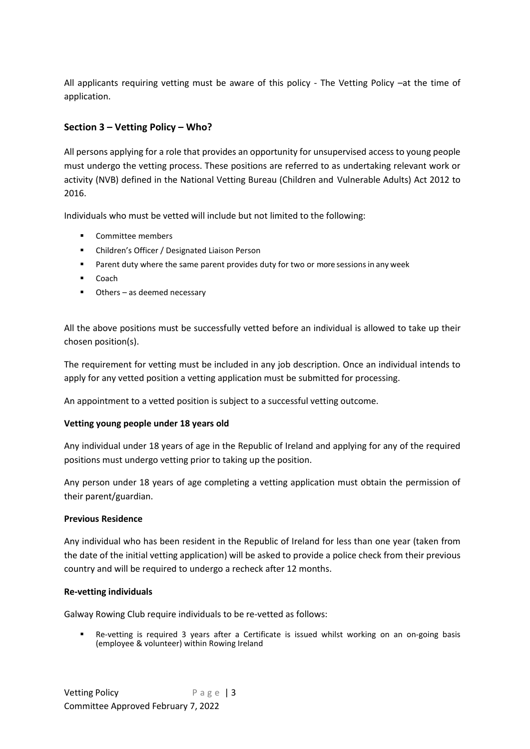All applicants requiring vetting must be aware of this policy - The Vetting Policy -at the time of application.

## **Section 3 – Vetting Policy – Who?**

All persons applying for a role that provides an opportunity for unsupervised access to young people must undergo the vetting process. These positions are referred to as undertaking relevant work or activity (NVB) defined in the National Vetting Bureau (Children and Vulnerable Adults) Act 2012 to 2016.

Individuals who must be vetted will include but not limited to the following:

- Committee members
- Children's Officer / Designated Liaison Person
- Parent duty where the same parent provides duty for two or more sessions in any week
- Coach
- Others as deemed necessary

All the above positions must be successfully vetted before an individual is allowed to take up their chosen position(s).

The requirement for vetting must be included in any job description. Once an individual intends to apply for any vetted position a vetting application must be submitted for processing.

An appointment to a vetted position is subject to a successful vetting outcome.

#### **Vetting young people under 18 years old**

Any individual under 18 years of age in the Republic of Ireland and applying for any of the required positions must undergo vetting prior to taking up the position.

Any person under 18 years of age completing a vetting application must obtain the permission of their parent/guardian.

#### **Previous Residence**

Any individual who has been resident in the Republic of Ireland for less than one year (taken from the date of the initial vetting application) will be asked to provide a police check from their previous country and will be required to undergo a recheck after 12 months.

#### **Re-vetting individuals**

Galway Rowing Club require individuals to be re-vetted as follows:

Re-vetting is required 3 years after a Certificate is issued whilst working on an on-going basis (employee & volunteer) within Rowing Ireland